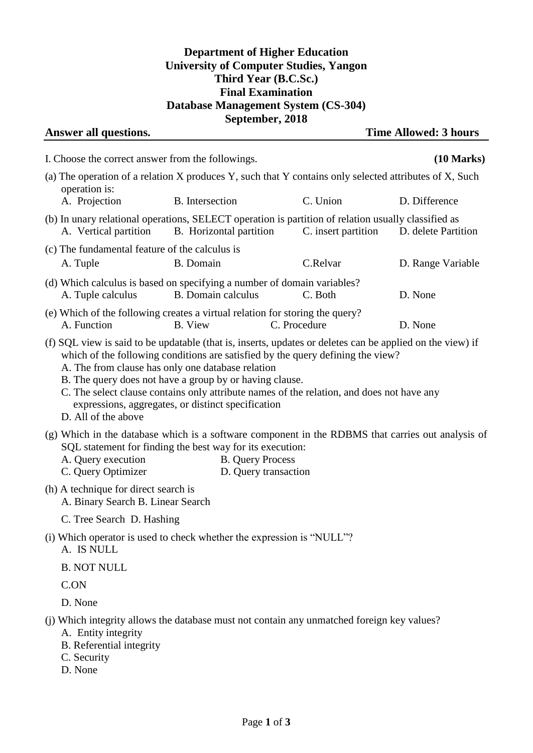## **Department of Higher Education University of Computer Studies, Yangon Third Year (B.C.Sc.) Final Examination Database Management System (CS-304) September, 2018**

| Answer all questions.                                                     |                                                                                                                                                                    |                                                                                                                                                                                                                                                                                           | <b>Time Allowed: 3 hours</b>                                                                      |
|---------------------------------------------------------------------------|--------------------------------------------------------------------------------------------------------------------------------------------------------------------|-------------------------------------------------------------------------------------------------------------------------------------------------------------------------------------------------------------------------------------------------------------------------------------------|---------------------------------------------------------------------------------------------------|
| I. Choose the correct answer from the followings.                         |                                                                                                                                                                    |                                                                                                                                                                                                                                                                                           | $(10 \text{ Marks})$                                                                              |
| operation is:                                                             |                                                                                                                                                                    | (a) The operation of a relation X produces Y, such that Y contains only selected attributes of X, Such                                                                                                                                                                                    |                                                                                                   |
| A. Projection                                                             | B. Intersection                                                                                                                                                    | C. Union                                                                                                                                                                                                                                                                                  | D. Difference                                                                                     |
| A. Vertical partition                                                     | B. Horizontal partition                                                                                                                                            | (b) In unary relational operations, SELECT operation is partition of relation usually classified as<br>C. insert partition                                                                                                                                                                | D. delete Partition                                                                               |
| (c) The fundamental feature of the calculus is<br>A. Tuple                | B. Domain                                                                                                                                                          | C.Relvar                                                                                                                                                                                                                                                                                  | D. Range Variable                                                                                 |
| A. Tuple calculus                                                         | B. Domain calculus                                                                                                                                                 | (d) Which calculus is based on specifying a number of domain variables?<br>C. Both                                                                                                                                                                                                        | D. None                                                                                           |
| A. Function                                                               | <b>B.</b> View                                                                                                                                                     | (e) Which of the following creates a virtual relation for storing the query?<br>C. Procedure                                                                                                                                                                                              | D. None                                                                                           |
| D. All of the above                                                       | A. The from clause has only one database relation<br>B. The query does not have a group by or having clause.<br>expressions, aggregates, or distinct specification | (f) SQL view is said to be updatable (that is, inserts, updates or deletes can be applied on the view) if<br>which of the following conditions are satisfied by the query defining the view?<br>C. The select clause contains only attribute names of the relation, and does not have any |                                                                                                   |
| A. Query execution<br>C. Query Optimizer                                  | SQL statement for finding the best way for its execution:                                                                                                          | <b>B.</b> Query Process<br>D. Query transaction                                                                                                                                                                                                                                           | (g) Which in the database which is a software component in the RDBMS that carries out analysis of |
| (h) A technique for direct search is<br>A. Binary Search B. Linear Search |                                                                                                                                                                    |                                                                                                                                                                                                                                                                                           |                                                                                                   |
| C. Tree Search D. Hashing                                                 |                                                                                                                                                                    |                                                                                                                                                                                                                                                                                           |                                                                                                   |
| A. IS NULL                                                                |                                                                                                                                                                    | (i) Which operator is used to check whether the expression is "NULL"?                                                                                                                                                                                                                     |                                                                                                   |
| <b>B. NOT NULL</b>                                                        |                                                                                                                                                                    |                                                                                                                                                                                                                                                                                           |                                                                                                   |
| C.ON                                                                      |                                                                                                                                                                    |                                                                                                                                                                                                                                                                                           |                                                                                                   |
| D. None                                                                   |                                                                                                                                                                    |                                                                                                                                                                                                                                                                                           |                                                                                                   |
| A. Entity integrity<br>B. Referential integrity<br>C. Security<br>D. None |                                                                                                                                                                    | (j) Which integrity allows the database must not contain any unmatched foreign key values?                                                                                                                                                                                                |                                                                                                   |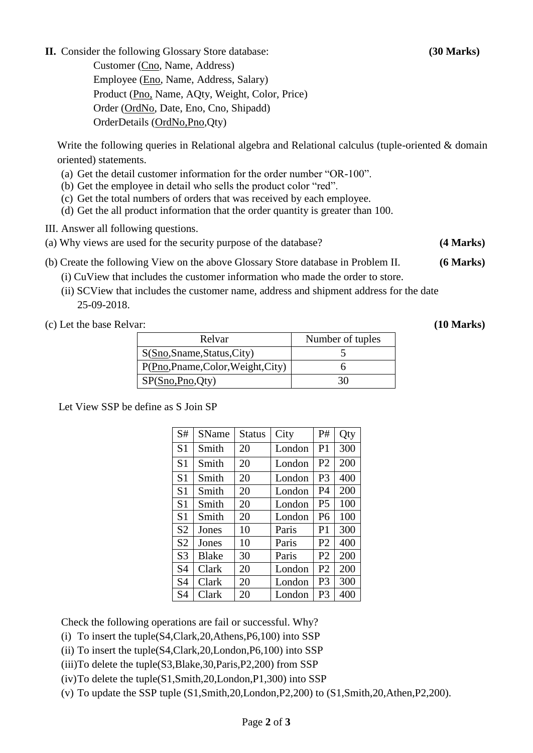**II.** Consider the following Glossary Store database: **(30 Marks)**

Customer (Cno, Name, Address) Employee (Eno, Name, Address, Salary) Product (Pno, Name, AQty, Weight, Color, Price) Order (OrdNo, Date, Eno, Cno, Shipadd) OrderDetails (OrdNo,Pno,Qty)

Write the following queries in Relational algebra and Relational calculus (tuple-oriented & domain oriented) statements.

- (a) Get the detail customer information for the order number "OR-100".
- (b) Get the employee in detail who sells the product color "red".
- (c) Get the total numbers of orders that was received by each employee.
- (d) Get the all product information that the order quantity is greater than 100.
- III. Answer all following questions.
- (a) Why views are used for the security purpose of the database? **(4 Marks)**
- (b) Create the following View on the above Glossary Store database in Problem II. **(6 Marks)**

(i) CuView that includes the customer information who made the order to store.

 (ii) SCView that includes the customer name, address and shipment address for the date 25-09-2018.

(c) Let the base Relvar: **(10 Marks)**

| Relvar                         | Number of tuples |
|--------------------------------|------------------|
| S(Sno, Sname, Status, City)    |                  |
| P(Pno,Pname,Color,Weight,City) |                  |
| SP(Sno, Pno, Qty)              |                  |

Let View SSP be define as S Join SP

| S#             | SName        | Status | City   | P#             | Qty |
|----------------|--------------|--------|--------|----------------|-----|
| S <sub>1</sub> | Smith        | 20     | London | P <sub>1</sub> | 300 |
| S <sub>1</sub> | Smith        | 20     | London | P <sub>2</sub> | 200 |
| S <sub>1</sub> | Smith        | 20     | London | P <sub>3</sub> | 400 |
| S <sub>1</sub> | Smith        | 20     | London | P4             | 200 |
| S <sub>1</sub> | Smith        | 20     | London | P <sub>5</sub> | 100 |
| S <sub>1</sub> | Smith        | 20     | London | P <sub>6</sub> | 100 |
| S <sub>2</sub> | Jones        | 10     | Paris  | P <sub>1</sub> | 300 |
| S <sub>2</sub> | Jones        | 10     | Paris  | P <sub>2</sub> | 400 |
| S <sub>3</sub> | <b>Blake</b> | 30     | Paris  | P <sub>2</sub> | 200 |
| S <sub>4</sub> | Clark        | 20     | London | P <sub>2</sub> | 200 |
| <b>S4</b>      | Clark        | 20     | London | P <sub>3</sub> | 300 |
| S4             | Clark        | 20     | London | P3             | 400 |

Check the following operations are fail or successful. Why?

- (i) To insert the tuple(S4,Clark,20,Athens,P6,100) into SSP
- (ii) To insert the tuple(S4,Clark,20,London,P6,100) into SSP
- (iii)To delete the tuple(S3,Blake,30,Paris,P2,200) from SSP
- (iv)To delete the tuple(S1,Smith,20,London,P1,300) into SSP
- (v) To update the SSP tuple (S1,Smith,20,London,P2,200) to (S1,Smith,20,Athen,P2,200).